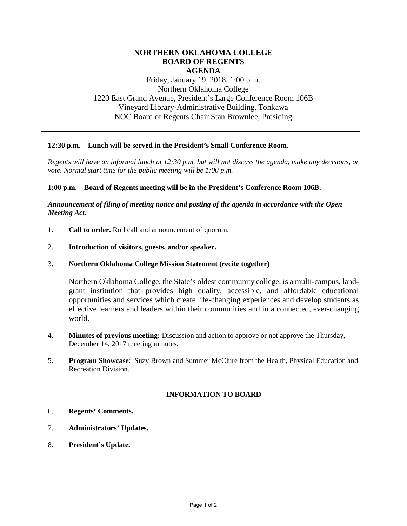# **NORTHERN OKLAHOMA COLLEGE BOARD OF REGENTS AGENDA**

Friday, January 19, 2018, 1:00 p.m. Northern Oklahoma College 1220 East Grand Avenue, President's Large Conference Room 106B Vineyard Library-Administrative Building, Tonkawa NOC Board of Regents Chair Stan Brownlee, Presiding

# **12:30 p.m. – Lunch will be served in the President's Small Conference Room.**

*Regents will have an informal lunch at 12:30 p.m. but will not discuss the agenda, make any decisions, or vote. Normal start time for the public meeting will be 1:00 p.m.* 

#### **1:00 p.m. – Board of Regents meeting will be in the President's Conference Room 106B.**

## *Announcement of filing of meeting notice and posting of the agenda in accordance with the Open Meeting Act.*

- 1. **Call to order.** Roll call and announcement of quorum.
- 2. **Introduction of visitors, guests, and/or speaker.**
- 3. **Northern Oklahoma College Mission Statement (recite together)**

Northern Oklahoma College, the State's oldest community college, is a multi-campus, landgrant institution that provides high quality, accessible, and affordable educational opportunities and services which create life-changing experiences and develop students as effective learners and leaders within their communities and in a connected, ever-changing world.

- 4. **Minutes of previous meeting:** Discussion and action to approve or not approve the Thursday, December 14, 2017 meeting minutes.
- 5. **Program Showcase**: Suzy Brown and Summer McClure from the Health, Physical Education and Recreation Division.

## **INFORMATION TO BOARD**

- 6. **Regents' Comments.**
- 7. **Administrators' Updates.**
- 8. **President's Update.**